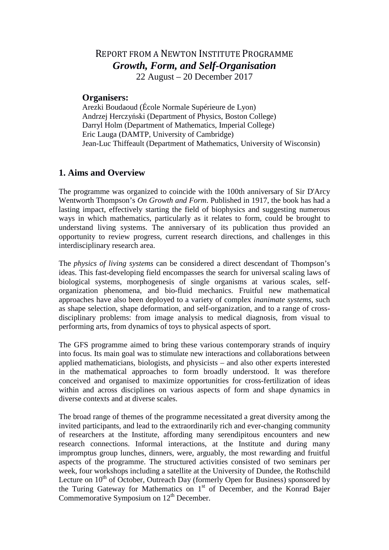## REPORT FROM A NEWTON INSTITUTE PROGRAMME *Growth, Form, and Self-Organisation* 22 August – 20 December 2017

#### **Organisers:**

Arezki Boudaoud (École Normale Supérieure de Lyon) Andrzej Herczyński (Department of Physics, Boston College) Darryl Holm (Department of Mathematics, Imperial College) Eric Lauga (DAMTP, University of Cambridge) Jean-Luc Thiffeault (Department of Mathematics, University of Wisconsin)

### **1. Aims and Overview**

The programme was organized to coincide with the 100th anniversary of Sir D'Arcy Wentworth Thompson's *On Growth and Form*. Published in 1917, the book has had a lasting impact, effectively starting the field of biophysics and suggesting numerous ways in which mathematics, particularly as it relates to form, could be brought to understand living systems. The anniversary of its publication thus provided an opportunity to review progress, current research directions, and challenges in this interdisciplinary research area.

The *physics of living systems* can be considered a direct descendant of Thompson's ideas. This fast-developing field encompasses the search for universal scaling laws of biological systems, morphogenesis of single organisms at various scales, selforganization phenomena, and bio-fluid mechanics. Fruitful new mathematical approaches have also been deployed to a variety of complex *inanimate systems*, such as shape selection, shape deformation, and self-organization, and to a range of crossdisciplinary problems: from image analysis to medical diagnosis, from visual to performing arts, from dynamics of toys to physical aspects of sport.

The GFS programme aimed to bring these various contemporary strands of inquiry into focus. Its main goal was to stimulate new interactions and collaborations between applied mathematicians, biologists, and physicists – and also other experts interested in the mathematical approaches to form broadly understood. It was therefore conceived and organised to maximize opportunities for cross-fertilization of ideas within and across disciplines on various aspects of form and shape dynamics in diverse contexts and at diverse scales.

The broad range of themes of the programme necessitated a great diversity among the invited participants, and lead to the extraordinarily rich and ever-changing community of researchers at the Institute, affording many serendipitous encounters and new research connections. Informal interactions, at the Institute and during many impromptus group lunches, dinners, were, arguably, the most rewarding and fruitful aspects of the programme. The structured activities consisted of two seminars per week, four workshops including a satellite at the University of Dundee, the Rothschild Lecture on  $10^{th}$  of October, Outreach Day (formerly Open for Business) sponsored by the Turing Gateway for Mathematics on  $1<sup>st</sup>$  of December, and the Konrad Bajer Commemorative Symposium on  $12<sup>th</sup>$  December.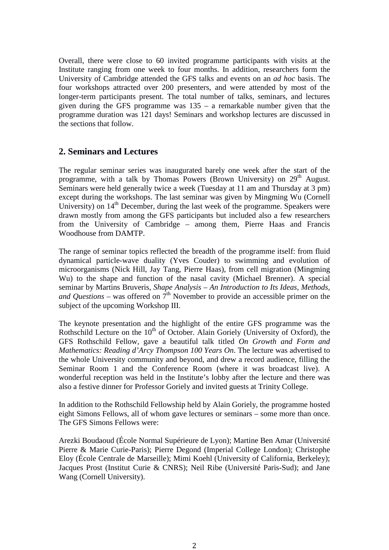Overall, there were close to 60 invited programme participants with visits at the Institute ranging from one week to four months. In addition, researchers form the University of Cambridge attended the GFS talks and events on an *ad hoc* basis. The four workshops attracted over 200 presenters, and were attended by most of the longer-term participants present. The total number of talks, seminars, and lectures given during the GFS programme was 135 – a remarkable number given that the programme duration was 121 days! Seminars and workshop lectures are discussed in the sections that follow.

### **2. Seminars and Lectures**

The regular seminar series was inaugurated barely one week after the start of the programme, with a talk by Thomas Powers (Brown University) on 29<sup>th</sup> August. Seminars were held generally twice a week (Tuesday at 11 am and Thursday at 3 pm) except during the workshops. The last seminar was given by Mingming Wu (Cornell University) on  $14<sup>th</sup>$  December, during the last week of the programme. Speakers were drawn mostly from among the GFS participants but included also a few researchers from the University of Cambridge – among them, Pierre Haas and Francis Woodhouse from DAMTP.

The range of seminar topics reflected the breadth of the programme itself: from fluid dynamical particle-wave duality (Yves Couder) to swimming and evolution of microorganisms (Nick Hill, Jay Tang, Pierre Haas), from cell migration (Mingming Wu) to the shape and function of the nasal cavity (Michael Brenner). A special seminar by Martins Bruveris, *Shape Analysis* – *An Introduction to Its Ideas, Methods, and Questions* – was offered on  $7<sup>th</sup>$  November to provide an accessible primer on the subject of the upcoming Workshop III.

The keynote presentation and the highlight of the entire GFS programme was the Rothschild Lecture on the  $10<sup>th</sup>$  of October. Alain Goriely (University of Oxford), the GFS Rothschild Fellow, gave a beautiful talk titled *On Growth and Form and Mathematics: Reading d'Arcy Thompson 100 Years On*. The lecture was advertised to the whole University community and beyond, and drew a record audience, filling the Seminar Room 1 and the Conference Room (where it was broadcast live). A wonderful reception was held in the Institute's lobby after the lecture and there was also a festive dinner for Professor Goriely and invited guests at Trinity College.

In addition to the Rothschild Fellowship held by Alain Goriely, the programme hosted eight Simons Fellows, all of whom gave lectures or seminars – some more than once. The GFS Simons Fellows were:

Arezki Boudaoud (École Normal Supérieure de Lyon); Martine Ben Amar (Université Pierre & Marie Curie-Paris); Pierre Degond (Imperial College London); Christophe Eloy (École Centrale de Marseille); Mimi Koehl (University of California, Berkeley); Jacques Prost (Institut Curie & CNRS); Neil Ribe (Université Paris-Sud); and Jane Wang (Cornell University).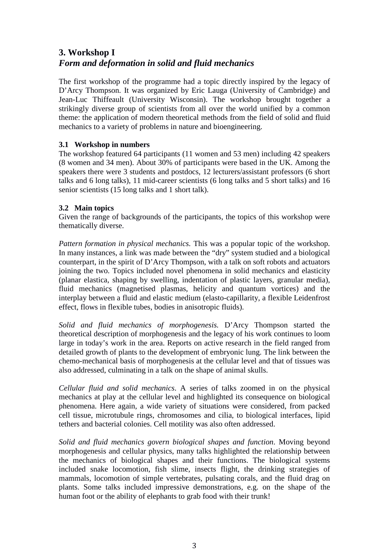# **3. Workshop I** *Form and deformation in solid and fluid mechanics*

The first workshop of the programme had a topic directly inspired by the legacy of D'Arcy Thompson. It was organized by Eric Lauga (University of Cambridge) and Jean-Luc Thiffeault (University Wisconsin). The workshop brought together a strikingly diverse group of scientists from all over the world unified by a common theme: the application of modern theoretical methods from the field of solid and fluid mechanics to a variety of problems in nature and bioengineering.

### **3.1 Workshop in numbers**

The workshop featured 64 participants (11 women and 53 men) including 42 speakers (8 women and 34 men). About 30% of participants were based in the UK. Among the speakers there were 3 students and postdocs, 12 lecturers/assistant professors (6 short talks and 6 long talks), 11 mid-career scientists (6 long talks and 5 short talks) and 16 senior scientists (15 long talks and 1 short talk).

### **3.2 Main topics**

Given the range of backgrounds of the participants, the topics of this workshop were thematically diverse.

*Pattern formation in physical mechanics.* This was a popular topic of the workshop. In many instances, a link was made between the "dry" system studied and a biological counterpart, in the spirit of D'Arcy Thompson, with a talk on soft robots and actuators joining the two. Topics included novel phenomena in solid mechanics and elasticity (planar elastica, shaping by swelling, indentation of plastic layers, granular media), fluid mechanics (magnetised plasmas, helicity and quantum vortices) and the interplay between a fluid and elastic medium (elasto-capillarity, a flexible Leidenfrost effect, flows in flexible tubes, bodies in anisotropic fluids).

*Solid and fluid mechanics of morphogenesis.* D'Arcy Thompson started the theoretical description of morphogenesis and the legacy of his work continues to loom large in today's work in the area. Reports on active research in the field ranged from detailed growth of plants to the development of embryonic lung. The link between the chemo-mechanical basis of morphogenesis at the cellular level and that of tissues was also addressed, culminating in a talk on the shape of animal skulls.

*Cellular fluid and solid mechanics*. A series of talks zoomed in on the physical mechanics at play at the cellular level and highlighted its consequence on biological phenomena. Here again, a wide variety of situations were considered, from packed cell tissue, microtubule rings, chromosomes and cilia, to biological interfaces, lipid tethers and bacterial colonies. Cell motility was also often addressed.

*Solid and fluid mechanics govern biological shapes and function*. Moving beyond morphogenesis and cellular physics, many talks highlighted the relationship between the mechanics of biological shapes and their functions. The biological systems included snake locomotion, fish slime, insects flight, the drinking strategies of mammals, locomotion of simple vertebrates, pulsating corals, and the fluid drag on plants. Some talks included impressive demonstrations, e.g. on the shape of the human foot or the ability of elephants to grab food with their trunk!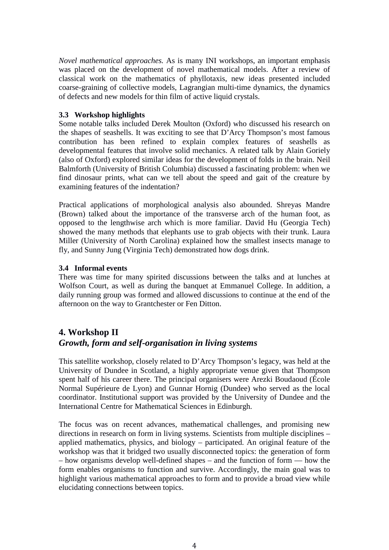*Novel mathematical approaches.* As is many INI workshops, an important emphasis was placed on the development of novel mathematical models. After a review of classical work on the mathematics of phyllotaxis, new ideas presented included coarse-graining of collective models, Lagrangian multi-time dynamics, the dynamics of defects and new models for thin film of active liquid crystals.

#### **3.3 Workshop highlights**

Some notable talks included Derek Moulton (Oxford) who discussed his research on the shapes of seashells. It was exciting to see that D'Arcy Thompson's most famous contribution has been refined to explain complex features of seashells as developmental features that involve solid mechanics. A related talk by Alain Goriely (also of Oxford) explored similar ideas for the development of folds in the brain. Neil Balmforth (University of British Columbia) discussed a fascinating problem: when we find dinosaur prints, what can we tell about the speed and gait of the creature by examining features of the indentation?

Practical applications of morphological analysis also abounded. Shreyas Mandre (Brown) talked about the importance of the transverse arch of the human foot, as opposed to the lengthwise arch which is more familiar. David Hu (Georgia Tech) showed the many methods that elephants use to grab objects with their trunk. Laura Miller (University of North Carolina) explained how the smallest insects manage to fly, and Sunny Jung (Virginia Tech) demonstrated how dogs drink.

#### **3.4 Informal events**

There was time for many spirited discussions between the talks and at lunches at Wolfson Court, as well as during the banquet at Emmanuel College. In addition, a daily running group was formed and allowed discussions to continue at the end of the afternoon on the way to Grantchester or Fen Ditton.

### **4. Workshop II** *Growth, form and self-organisation in living systems*

This satellite workshop, closely related to D'Arcy Thompson's legacy, was held at the University of Dundee in Scotland, a highly appropriate venue given that Thompson spent half of his career there. The principal organisers were Arezki Boudaoud (École Normal Supérieure de Lyon) and Gunnar Hornig (Dundee) who served as the local coordinator. Institutional support was provided by the University of Dundee and the International Centre for Mathematical Sciences in Edinburgh.

The focus was on recent advances, mathematical challenges, and promising new directions in research on form in living systems. Scientists from multiple disciplines – applied mathematics, physics, and biology – participated. An original feature of the workshop was that it bridged two usually disconnected topics: the generation of form – how organisms develop well-defined shapes – and the function of form — how the form enables organisms to function and survive. Accordingly, the main goal was to highlight various mathematical approaches to form and to provide a broad view while elucidating connections between topics.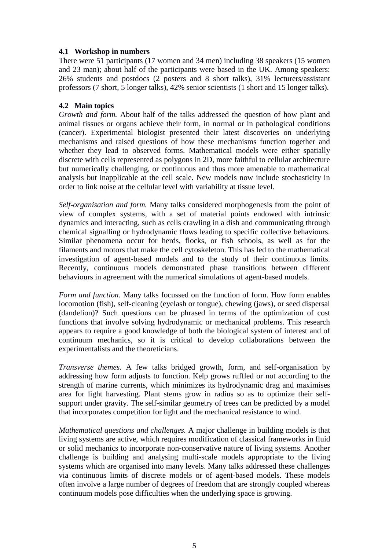#### **4.1 Workshop in numbers**

There were 51 participants (17 women and 34 men) including 38 speakers (15 women and 23 man); about half of the participants were based in the UK. Among speakers: 26% students and postdocs (2 posters and 8 short talks), 31% lecturers/assistant professors (7 short, 5 longer talks), 42% senior scientists (1 short and 15 longer talks).

#### **4.2 Main topics**

*Growth and form.* About half of the talks addressed the question of how plant and animal tissues or organs achieve their form, in normal or in pathological conditions (cancer). Experimental biologist presented their latest discoveries on underlying mechanisms and raised questions of how these mechanisms function together and whether they lead to observed forms. Mathematical models were either spatially discrete with cells represented as polygons in 2D, more faithful to cellular architecture but numerically challenging, or continuous and thus more amenable to mathematical analysis but inapplicable at the cell scale. New models now include stochasticity in order to link noise at the cellular level with variability at tissue level.

*Self-organisation and form.* Many talks considered morphogenesis from the point of view of complex systems, with a set of material points endowed with intrinsic dynamics and interacting, such as cells crawling in a dish and communicating through chemical signalling or hydrodynamic flows leading to specific collective behaviours. Similar phenomena occur for herds, flocks, or fish schools, as well as for the filaments and motors that make the cell cytoskeleton. This has led to the mathematical investigation of agent-based models and to the study of their continuous limits. Recently, continuous models demonstrated phase transitions between different behaviours in agreement with the numerical simulations of agent-based models.

*Form and function.* Many talks focussed on the function of form. How form enables locomotion (fish), self-cleaning (eyelash or tongue), chewing (jaws), or seed dispersal (dandelion)? Such questions can be phrased in terms of the optimization of cost functions that involve solving hydrodynamic or mechanical problems. This research appears to require a good knowledge of both the biological system of interest and of continuum mechanics, so it is critical to develop collaborations between the experimentalists and the theoreticians.

*Transverse themes.* A few talks bridged growth, form, and self-organisation by addressing how form adjusts to function. Kelp grows ruffled or not according to the strength of marine currents, which minimizes its hydrodynamic drag and maximises area for light harvesting. Plant stems grow in radius so as to optimize their selfsupport under gravity. The self-similar geometry of trees can be predicted by a model that incorporates competition for light and the mechanical resistance to wind.

*Mathematical questions and challenges.* A major challenge in building models is that living systems are active, which requires modification of classical frameworks in fluid or solid mechanics to incorporate non-conservative nature of living systems. Another challenge is building and analysing multi-scale models appropriate to the living systems which are organised into many levels. Many talks addressed these challenges via continuous limits of discrete models or of agent-based models. These models often involve a large number of degrees of freedom that are strongly coupled whereas continuum models pose difficulties when the underlying space is growing.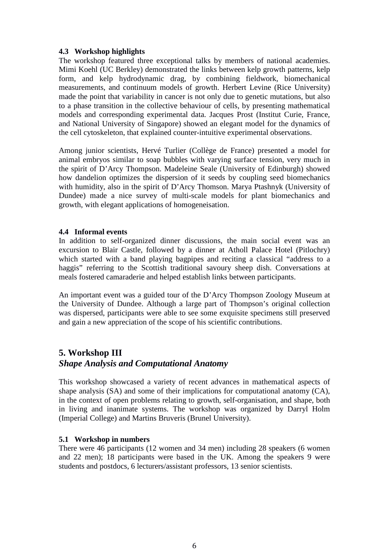#### **4.3 Workshop highlights**

The workshop featured three exceptional talks by members of national academies. Mimi Koehl (UC Berkley) demonstrated the links between kelp growth patterns, kelp form, and kelp hydrodynamic drag, by combining fieldwork, biomechanical measurements, and continuum models of growth. Herbert Levine (Rice University) made the point that variability in cancer is not only due to genetic mutations, but also to a phase transition in the collective behaviour of cells, by presenting mathematical models and corresponding experimental data. Jacques Prost (Institut Curie, France, and National University of Singapore) showed an elegant model for the dynamics of the cell cytoskeleton, that explained counter-intuitive experimental observations.

Among junior scientists, Hervé Turlier (Collège de France) presented a model for animal embryos similar to soap bubbles with varying surface tension, very much in the spirit of D'Arcy Thompson. Madeleine Seale (University of Edinburgh) showed how dandelion optimizes the dispersion of it seeds by coupling seed biomechanics with humidity, also in the spirit of D'Arcy Thomson. Marya Ptashnyk (University of Dundee) made a nice survey of multi-scale models for plant biomechanics and growth, with elegant applications of homogeneisation.

#### **4.4 Informal events**

In addition to self-organized dinner discussions, the main social event was an excursion to Blair Castle, followed by a dinner at Atholl Palace Hotel (Pitlochry) which started with a band playing bagpipes and reciting a classical "address to a haggis" referring to the Scottish traditional savoury sheep dish. Conversations at meals fostered camaraderie and helped establish links between participants.

An important event was a guided tour of the D'Arcy Thompson Zoology Museum at the University of Dundee. Although a large part of Thompson's original collection was dispersed, participants were able to see some exquisite specimens still preserved and gain a new appreciation of the scope of his scientific contributions.

### **5. Workshop III** *Shape Analysis and Computational Anatomy*

This workshop showcased a variety of recent advances in mathematical aspects of shape analysis (SA) and some of their implications for computational anatomy (CA), in the context of open problems relating to growth, self-organisation, and shape, both in living and inanimate systems. The workshop was organized by Darryl Holm (Imperial College) and Martins Bruveris (Brunel University).

#### **5.1 Workshop in numbers**

There were 46 participants (12 women and 34 men) including 28 speakers (6 women and 22 men); 18 participants were based in the UK. Among the speakers 9 were students and postdocs, 6 lecturers/assistant professors, 13 senior scientists.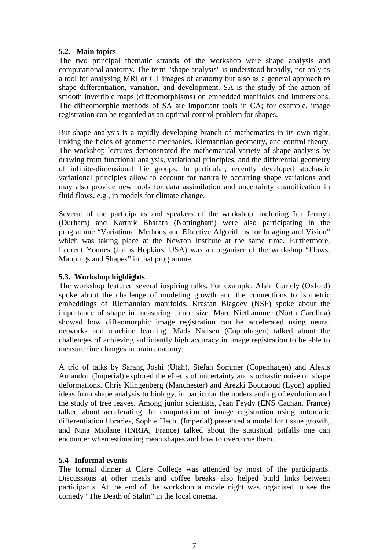#### **5.2. Main topics**

The two principal thematic strands of the workshop were shape analysis and computational anatomy. The term "shape analysis" is understood broadly, not only as a tool for analysing MRI or CT images of anatomy but also as a general approach to shape differentiation, variation, and development. SA is the study of the action of smooth invertible maps (diffeomorphisms) on embedded manifolds and immersions. The diffeomorphic methods of SA are important tools in CA; for example, image registration can be regarded as an optimal control problem for shapes.

But shape analysis is a rapidly developing branch of mathematics in its own right, linking the fields of geometric mechanics, Riemannian geometry, and control theory. The workshop lectures demonstrated the mathematical variety of shape analysis by drawing from functional analysis, variational principles, and the differential geometry of infinite-dimensional Lie groups. In particular, recently developed stochastic variational principles allow to account for naturally occurring shape variations and may also provide new tools for data assimilation and uncertainty quantification in fluid flows, e.g., in models for climate change.

Several of the participants and speakers of the workshop, including Ian Jermyn (Durham) and Karthik Bharath (Nottingham) were also participating in the programme "Variational Methods and Effective Algorithms for Imaging and Vision" which was taking place at the Newton Institute at the same time. Furthermore, Laurent Younes (Johns Hopkins, USA) was an organiser of the workshop "Flows, Mappings and Shapes" in that programme.

#### **5.3. Workshop highlights**

The workshop featured several inspiring talks. For example, Alain Goriely (Oxford) spoke about the challenge of modeling growth and the connections to isometric embeddings of Riemannian manifolds. Krastan Blagoev (NSF) spoke about the importance of shape in measuring tumor size. Marc Niethammer (North Carolina) showed how diffeomorphic image registration can be accelerated using neural networks and machine learning. Mads Nielsen (Copenhagen) talked about the challenges of achieving sufficiently high accuracy in image registration to be able to measure fine changes in brain anatomy.

A trio of talks by Sarang Joshi (Utah), Stefan Sommer (Copenhagen) and Alexis Arnaudon (Imperial) explored the effects of uncertainty and stochastic noise on shape deformations. Chris Klingenberg (Manchester) and Arezki Boudaoud (Lyon) applied ideas from shape analysis to biology, in particular the understanding of evolution and the study of tree leaves. Among junior scientists, Jean Feydy (ENS Cachan, France) talked about accelerating the computation of image registration using automatic differentiation libraries, Sophie Hecht (Imperial) presented a model for tissue growth, and Nina Miolane (INRIA, France) talked about the statistical pitfalls one can encounter when estimating mean shapes and how to overcome them.

#### **5.4 Informal events**

The formal dinner at Clare College was attended by most of the participants. Discussions at other meals and coffee breaks also helped build links between participants. At the end of the workshop a movie night was organised to see the comedy "The Death of Stalin" in the local cinema.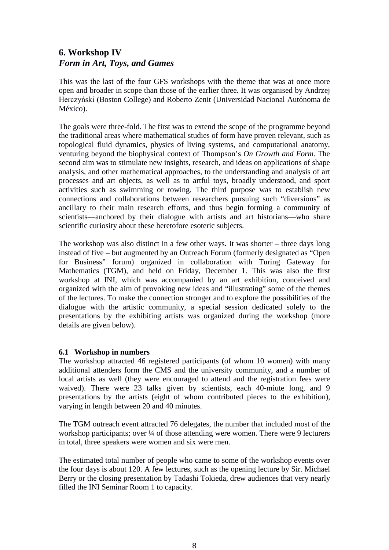# **6. Workshop IV** *Form in Art, Toys, and Games*

This was the last of the four GFS workshops with the theme that was at once more open and broader in scope than those of the earlier three. It was organised by Andrzej Herczyński (Boston College) and Roberto Zenit (Universidad Nacional Autónoma de México).

The goals were three-fold. The first was to extend the scope of the programme beyond the traditional areas where mathematical studies of form have proven relevant, such as topological fluid dynamics, physics of living systems, and computational anatomy, venturing beyond the biophysical context of Thompson's *On Growth and Form*. The second aim was to stimulate new insights, research, and ideas on applications of shape analysis, and other mathematical approaches, to the understanding and analysis of art processes and art objects, as well as to artful toys, broadly understood, and sport activities such as swimming or rowing. The third purpose was to establish new connections and collaborations between researchers pursuing such "diversions" as ancillary to their main research efforts, and thus begin forming a community of scientists—anchored by their dialogue with artists and art historians—who share scientific curiosity about these heretofore esoteric subjects.

The workshop was also distinct in a few other ways. It was shorter – three days long instead of five – but augmented by an Outreach Forum (formerly designated as "Open for Business" forum) organized in collaboration with Turing Gateway for Mathematics (TGM), and held on Friday, December 1. This was also the first workshop at INI, which was accompanied by an art exhibition, conceived and organized with the aim of provoking new ideas and "illustrating" some of the themes of the lectures. To make the connection stronger and to explore the possibilities of the dialogue with the artistic community, a special session dedicated solely to the presentations by the exhibiting artists was organized during the workshop (more details are given below).

#### **6.1 Workshop in numbers**

The workshop attracted 46 registered participants (of whom 10 women) with many additional attenders form the CMS and the university community, and a number of local artists as well (they were encouraged to attend and the registration fees were waived). There were 23 talks given by scientists, each 40-miute long, and 9 presentations by the artists (eight of whom contributed pieces to the exhibition), varying in length between 20 and 40 minutes.

The TGM outreach event attracted 76 delegates, the number that included most of the workshop participants; over <sup>1</sup>/4 of those attending were women. There were 9 lecturers in total, three speakers were women and six were men.

The estimated total number of people who came to some of the workshop events over the four days is about 120. A few lectures, such as the opening lecture by Sir. Michael Berry or the closing presentation by Tadashi Tokieda, drew audiences that very nearly filled the INI Seminar Room 1 to capacity.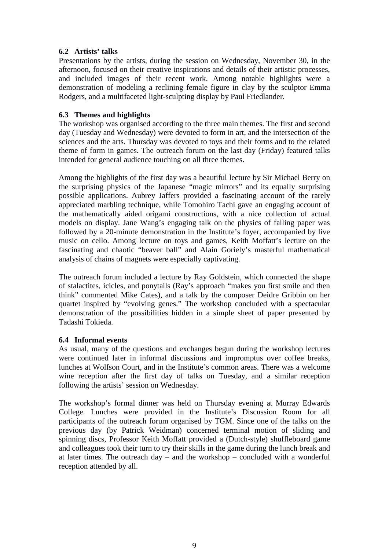#### **6.2 Artists' talks**

Presentations by the artists, during the session on Wednesday, November 30, in the afternoon, focused on their creative inspirations and details of their artistic processes, and included images of their recent work. Among notable highlights were a demonstration of modeling a reclining female figure in clay by the sculptor Emma Rodgers, and a multifaceted light-sculpting display by Paul Friedlander.

#### **6.3 Themes and highlights**

The workshop was organised according to the three main themes. The first and second day (Tuesday and Wednesday) were devoted to form in art, and the intersection of the sciences and the arts. Thursday was devoted to toys and their forms and to the related theme of form in games. The outreach forum on the last day (Friday) featured talks intended for general audience touching on all three themes.

Among the highlights of the first day was a beautiful lecture by Sir Michael Berry on the surprising physics of the Japanese "magic mirrors" and its equally surprising possible applications. Aubrey Jaffers provided a fascinating account of the rarely appreciated marbling technique, while Tomohiro Tachi gave an engaging account of the mathematically aided origami constructions, with a nice collection of actual models on display. Jane Wang's engaging talk on the physics of falling paper was followed by a 20-minute demonstration in the Institute's foyer, accompanied by live music on cello. Among lecture on toys and games, Keith Moffatt's lecture on the fascinating and chaotic "beaver ball" and Alain Goriely's masterful mathematical analysis of chains of magnets were especially captivating.

The outreach forum included a lecture by Ray Goldstein, which connected the shape of stalactites, icicles, and ponytails (Ray's approach "makes you first smile and then think" commented Mike Cates), and a talk by the composer Deidre Gribbin on her quartet inspired by "evolving genes." The workshop concluded with a spectacular demonstration of the possibilities hidden in a simple sheet of paper presented by Tadashi Tokieda.

#### **6.4 Informal events**

As usual, many of the questions and exchanges begun during the workshop lectures were continued later in informal discussions and impromptus over coffee breaks, lunches at Wolfson Court, and in the Institute's common areas. There was a welcome wine reception after the first day of talks on Tuesday, and a similar reception following the artists' session on Wednesday.

The workshop's formal dinner was held on Thursday evening at Murray Edwards College. Lunches were provided in the Institute's Discussion Room for all participants of the outreach forum organised by TGM. Since one of the talks on the previous day (by Patrick Weidman) concerned terminal motion of sliding and spinning discs, Professor Keith Moffatt provided a (Dutch-style) shuffleboard game and colleagues took their turn to try their skills in the game during the lunch break and at later times. The outreach day – and the workshop – concluded with a wonderful reception attended by all.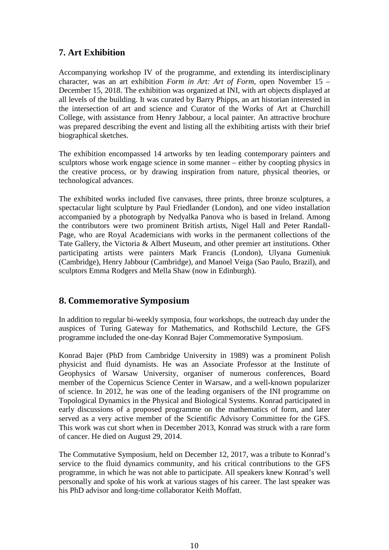## **7. Art Exhibition**

Accompanying workshop IV of the programme, and extending its interdisciplinary character, was an art exhibition *Form in Art: Art of Form*, open November 15 – December 15, 2018. The exhibition was organized at INI, with art objects displayed at all levels of the building. It was curated by Barry Phipps, an art historian interested in the intersection of art and science and Curator of the Works of Art at Churchill College, with assistance from Henry Jabbour, a local painter. An attractive brochure was prepared describing the event and listing all the exhibiting artists with their brief biographical sketches.

The exhibition encompassed 14 artworks by ten leading contemporary painters and sculptors whose work engage science in some manner – either by coopting physics in the creative process, or by drawing inspiration from nature, physical theories, or technological advances.

The exhibited works included five canvases, three prints, three bronze sculptures, a spectacular light sculpture by Paul Friedlander (London), and one video installation accompanied by a photograph by Nedyalka Panova who is based in Ireland. Among the contributors were two prominent British artists, Nigel Hall and Peter Randall-Page, who are Royal Academicians with works in the permanent collections of the Tate Gallery, the Victoria & Albert Museum, and other premier art institutions. Other participating artists were painters Mark Francis (London), Ulyana Gumeniuk (Cambridge), Henry Jabbour (Cambridge), and Manoel Veiga (Sao Paulo, Brazil), and sculptors Emma Rodgers and Mella Shaw (now in Edinburgh).

### **8. Commemorative Symposium**

In addition to regular bi-weekly symposia, four workshops, the outreach day under the auspices of Turing Gateway for Mathematics, and Rothschild Lecture, the GFS programme included the one-day Konrad Bajer Commemorative Symposium.

Konrad Bajer (PhD from Cambridge University in 1989) was a prominent Polish physicist and fluid dynamists. He was an Associate Professor at the Institute of Geophysics of Warsaw University, organiser of numerous conferences, Board member of the Copernicus Science Center in Warsaw, and a well-known popularizer of science. In 2012, he was one of the leading organisers of the INI programme on Topological Dynamics in the Physical and Biological Systems. Konrad participated in early discussions of a proposed programme on the mathematics of form, and later served as a very active member of the Scientific Advisory Committee for the GFS. This work was cut short when in December 2013, Konrad was struck with a rare form of cancer. He died on August 29, 2014.

The Commutative Symposium, held on December 12, 2017, was a tribute to Konrad's service to the fluid dynamics community, and his critical contributions to the GFS programme, in which he was not able to participate. All speakers knew Konrad's well personally and spoke of his work at various stages of his career. The last speaker was his PhD advisor and long-time collaborator Keith Moffatt.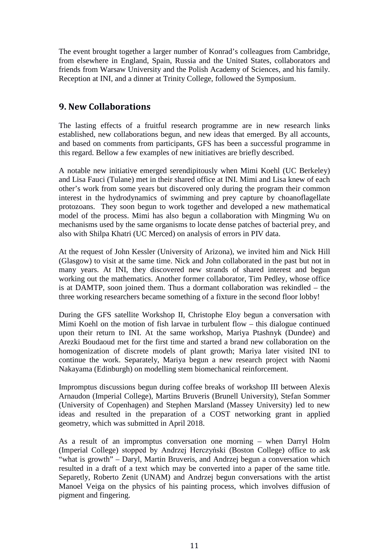The event brought together a larger number of Konrad's colleagues from Cambridge, from elsewhere in England, Spain, Russia and the United States, collaborators and friends from Warsaw University and the Polish Academy of Sciences, and his family. Reception at INI, and a dinner at Trinity College, followed the Symposium.

### **9. New Collaborations**

The lasting effects of a fruitful research programme are in new research links established, new collaborations begun, and new ideas that emerged. By all accounts, and based on comments from participants, GFS has been a successful programme in this regard. Bellow a few examples of new initiatives are briefly described.

A notable new initiative emerged serendipitously when Mimi Koehl (UC Berkeley) and Lisa Fauci (Tulane) met in their shared office at INI. Mimi and Lisa knew of each other's work from some years but discovered only during the program their common interest in the hydrodynamics of swimming and prey capture by choanoflagellate protozoans. They soon begun to work together and developed a new mathematical model of the process. Mimi has also begun a collaboration with Mingming Wu on mechanisms used by the same organisms to locate dense patches of bacterial prey, and also with Shilpa Khatri (UC Merced) on analysis of errors in PIV data.

At the request of John Kessler (University of Arizona), we invited him and Nick Hill (Glasgow) to visit at the same time. Nick and John collaborated in the past but not in many years. At INI, they discovered new strands of shared interest and begun working out the mathematics. Another former collaborator, Tim Pedley, whose office is at DAMTP, soon joined them. Thus a dormant collaboration was rekindled – the three working researchers became something of a fixture in the second floor lobby!

During the GFS satellite Workshop II, Christophe Eloy begun a conversation with Mimi Koehl on the motion of fish larvae in turbulent flow – this dialogue continued upon their return to INI. At the same workshop, Mariya Ptashnyk (Dundee) and Arezki Boudaoud met for the first time and started a brand new collaboration on the homogenization of discrete models of plant growth; Mariya later visited INI to continue the work. Separately, Mariya begun a new research project with Naomi Nakayama (Edinburgh) on modelling stem biomechanical reinforcement.

Impromptus discussions begun during coffee breaks of workshop III between Alexis Arnaudon (Imperial College), Martins Bruveris (Brunell University), Stefan Sommer (University of Copenhagen) and Stephen Marsland (Massey University) led to new ideas and resulted in the preparation of a COST networking grant in applied geometry, which was submitted in April 2018.

As a result of an impromptus conversation one morning – when Darryl Holm (Imperial College) stopped by Andrzej Herczyński (Boston College) office to ask "what is growth" – Daryl, Martin Bruveris, and Andrzej begun a conversation which resulted in a draft of a text which may be converted into a paper of the same title. Separetly, Roberto Zenit (UNAM) and Andrzej begun conversations with the artist Manoel Veiga on the physics of his painting process, which involves diffusion of pigment and fingering.